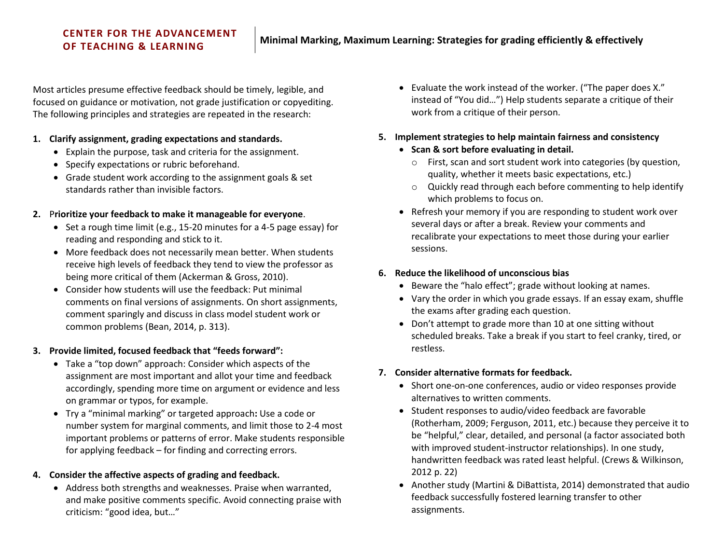# **CENTER FOR THE ADVANCEMENT**

Most articles presume effective feedback should be timely, legible, and focused on guidance or motivation, not grade justification or copyediting. The following principles and strategies are repeated in the research:

#### **1. Clarify assignment, grading expectations and standards.**

- Explain the purpose, task and criteria for the assignment.
- Specify expectations or rubric beforehand.
- Grade student work according to the assignment goals & set standards rather than invisible factors.

## **2.** P**rioritize your feedback to make it manageable for everyone**.

- Set a rough time limit (e.g., 15-20 minutes for a 4-5 page essay) for reading and responding and stick to it.
- More feedback does not necessarily mean better. When students receive high levels of feedback they tend to view the professor as being more critical of them (Ackerman & Gross, 2010).
- Consider how students will use the feedback: Put minimal comments on final versions of assignments. On short assignments, comment sparingly and discuss in class model student work or common problems (Bean, 2014, p. 313).

## **3. Provide limited, focused feedback that "feeds forward":**

- Take a "top down" approach: Consider which aspects of the assignment are most important and allot your time and feedback accordingly, spending more time on argument or evidence and less on grammar or typos, for example.
- Try a "minimal marking" or targeted approach**:** Use a code or number system for marginal comments, and limit those to 2-4 most important problems or patterns of error. Make students responsible for applying feedback – for finding and correcting errors.

## **4. Consider the affective aspects of grading and feedback.**

 Address both strengths and weaknesses. Praise when warranted, and make positive comments specific. Avoid connecting praise with criticism: "good idea, but…"

- Evaluate the work instead of the worker. ("The paper does X." instead of "You did…") Help students separate a critique of their work from a critique of their person.
- **5. Implement strategies to help maintain fairness and consistency**
	- **Scan & sort before evaluating in detail.**
		- o First, scan and sort student work into categories (by question, quality, whether it meets basic expectations, etc.)
		- o Quickly read through each before commenting to help identify which problems to focus on.
	- Refresh your memory if you are responding to student work over several days or after a break. Review your comments and recalibrate your expectations to meet those during your earlier sessions.

## **6. Reduce the likelihood of unconscious bias**

- Beware the "halo effect"; grade without looking at names.
- Vary the order in which you grade essays. If an essay exam, shuffle the exams after grading each question.
- Don't attempt to grade more than 10 at one sitting without scheduled breaks. Take a break if you start to feel cranky, tired, or restless.

## **7. Consider alternative formats for feedback.**

- Short one-on-one conferences, audio or video responses provide alternatives to written comments.
- Student responses to audio/video feedback are favorable (Rotherham, 2009; Ferguson, 2011, etc.) because they perceive it to be "helpful," clear, detailed, and personal (a factor associated both with improved student-instructor relationships). In one study, handwritten feedback was rated least helpful. (Crews & Wilkinson, 2012 p. 22)
- Another study (Martini & DiBattista, 2014) demonstrated that audio feedback successfully fostered learning transfer to other assignments.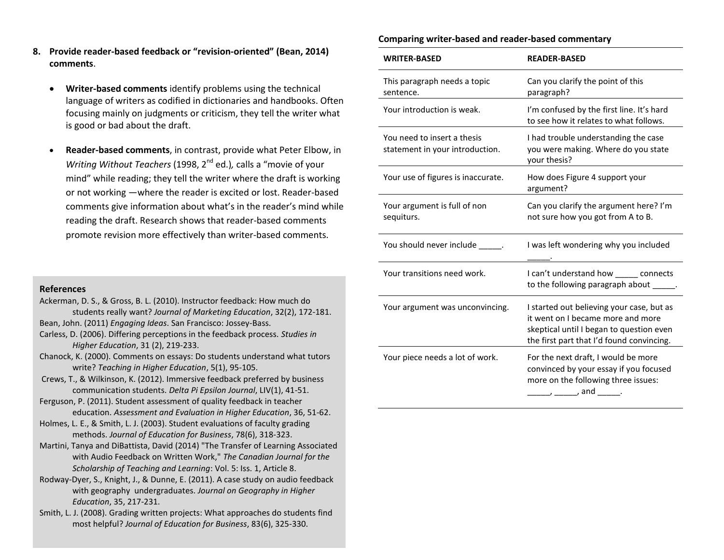- **8. Provide reader-based feedback or "revision-oriented" (Bean, 2014) comments**.
	- **Writer-based comments** identify problems using the technical language of writers as codified in dictionaries and handbooks. Often focusing mainly on judgments or criticism, they tell the writer what is good or bad about the draft.
	- **Reader-based comments**, in contrast, provide what Peter Elbow, in *Writing Without Teachers* (1998, 2<sup>nd</sup> ed.), calls a "movie of your mind" while reading; they tell the writer where the draft is working or not working —where the reader is excited or lost. Reader-based comments give information about what's in the reader's mind while reading the draft. Research shows that reader-based comments promote revision more effectively than writer-based comments.

#### **References**

- Ackerman, D. S., & Gross, B. L. (2010). Instructor feedback: How much do students really want? *Journal of Marketing Education*, 32(2), 172-181.
- Bean, John. (2011) *Engaging Ideas*. San Francisco: Jossey-Bass.
- Carless, D. (2006). Differing perceptions in the feedback process. *Studies in Higher Education*, 31 (2), 219-233.
- Chanock, K. (2000). Comments on essays: Do students understand what tutors write? *Teaching in Higher Education*, 5(1), 95-105.
- Crews, T., & Wilkinson, K. (2012). Immersive feedback preferred by business communication students. *Delta Pi Epsilon Journal*, LIV(1), 41-51.
- Ferguson, P. (2011). Student assessment of quality feedback in teacher education. *Assessment and Evaluation in Higher Education*, 36, 51-62.
- Holmes, L. E., & Smith, L. J. (2003). Student evaluations of faculty grading methods. *Journal of Education for Business*, 78(6), 318-323.
- Martini, Tanya and DiBattista, David (2014) "The Transfer of Learning Associated with Audio Feedback on Written Work," *The Canadian Journal for the Scholarship of Teaching and Learning*: Vol. 5: Iss. 1, Article 8.
- Rodway-Dyer, S., Knight, J., & Dunne, E. (2011). A case study on audio feedback with geography undergraduates. *Journal on Geography in Higher Education*, 35, 217-231.
- Smith, L. J. (2008). Grading written projects: What approaches do students find most helpful? *Journal of Education for Business*, 83(6), 325-330.

#### **Comparing writer-based and reader-based commentary**

| <b>WRITER-BASED</b>                                            | <b>READER-BASED</b>                                                                                                                                                     |  |
|----------------------------------------------------------------|-------------------------------------------------------------------------------------------------------------------------------------------------------------------------|--|
| This paragraph needs a topic<br>sentence.                      | Can you clarify the point of this<br>paragraph?                                                                                                                         |  |
| Your introduction is weak.                                     | I'm confused by the first line. It's hard<br>to see how it relates to what follows.                                                                                     |  |
| You need to insert a thesis<br>statement in your introduction. | I had trouble understanding the case<br>you were making. Where do you state<br>your thesis?                                                                             |  |
| Your use of figures is inaccurate.                             | How does Figure 4 support your<br>argument?                                                                                                                             |  |
| Your argument is full of non<br>sequiturs.                     | Can you clarify the argument here? I'm<br>not sure how you got from A to B.                                                                                             |  |
| You should never include                                       | I was left wondering why you included                                                                                                                                   |  |
| Your transitions need work.                                    | I can't understand how ______ connects<br>to the following paragraph about _                                                                                            |  |
| Your argument was unconvincing.                                | I started out believing your case, but as<br>it went on I became more and more<br>skeptical until I began to question even<br>the first part that I'd found convincing. |  |
| Your piece needs a lot of work.                                | For the next draft, I would be more<br>convinced by your essay if you focused<br>more on the following three issues:                                                    |  |